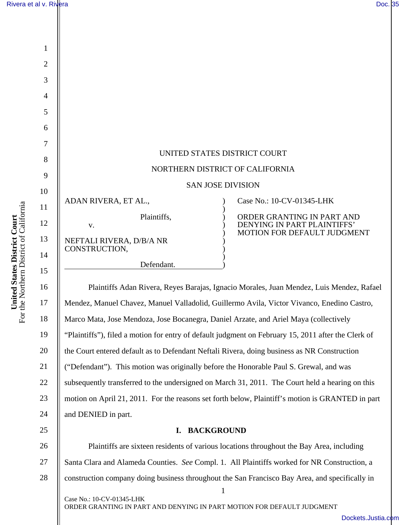| $\mathbf{1}$   |                             |                                                           |
|----------------|-----------------------------|-----------------------------------------------------------|
| $\overline{2}$ |                             |                                                           |
| 3              |                             |                                                           |
| $\overline{4}$ |                             |                                                           |
| 5              |                             |                                                           |
| 6              |                             |                                                           |
| 7              |                             |                                                           |
| 8              |                             | UNITED STATES DISTRICT COURT                              |
| 9              |                             | NORTHERN DISTRICT OF CALIFORNIA                           |
| 10             |                             | <b>SAN JOSE DIVISION</b>                                  |
| 11             | ADAN RIVERA, ET AL.,        | Case No.: 10-CV-01345-LHK                                 |
| 12             | Plaintiffs,<br>V.           | ORDER GRANTING IN PART AND<br>DENYING IN PART PLAINTIFFS' |
| 13             | NEFTALI RIVERA, D/B/A NR    | MOTION FOR DEFAULT JUDGMENT                               |
| 14             | CONSTRUCTION,<br>Defendant. |                                                           |
|                |                             |                                                           |

Plaintiffs Adan Rivera, Reyes Barajas, Ignacio Morales, Juan Mendez, Luis Mendez, Rafael Mendez, Manuel Chavez, Manuel Valladolid, Guillermo Avila, Victor Vivanco, Enedino Castro, Marco Mata, Jose Mendoza, Jose Bocanegra, Daniel Arzate, and Ariel Maya (collectively "Plaintiffs"), filed a motion for entry of default judgment on February 15, 2011 after the Clerk of the Court entered default as to Defendant Neftali Rivera, doing business as NR Construction ("Defendant"). This motion was originally before the Honorable Paul S. Grewal, and was subsequently transferred to the undersigned on March 31, 2011. The Court held a hearing on this motion on April 21, 2011. For the reasons set forth below, Plaintiff's motion is GRANTED in part and DENIED in part.

# **I. BACKGROUND**

1 26 27 28 Plaintiffs are sixteen residents of various locations throughout the Bay Area, including Santa Clara and Alameda Counties. *See* Compl. 1. All Plaintiffs worked for NR Construction, a construction company doing business throughout the San Francisco Bay Area, and specifically in

Case No.: 10-CV-01345-LHK ORDER GRANTING IN PART AND DENYING IN PART MOTION FOR DEFAULT JUDGMENT

15

I

16

17

18

19

20

21

22

23

24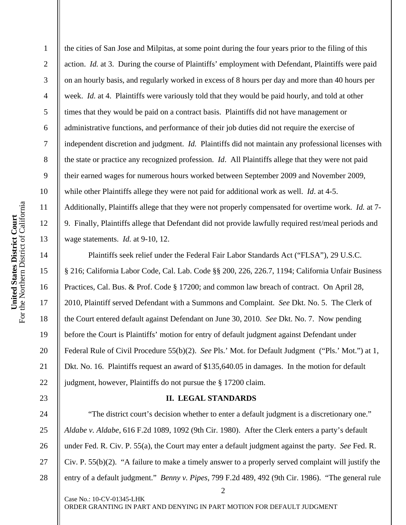3 4 5 6 7 8 9 10 United States District Court<br>For the Northern District of California For the Northern District of California 11 **United States District Court**  12 13 14 15 16 17

18

19

20

21

22

23

24

25

26

27

28

1

2

the cities of San Jose and Milpitas, at some point during the four years prior to the filing of this action. *Id.* at 3. During the course of Plaintiffs' employment with Defendant, Plaintiffs were paid on an hourly basis, and regularly worked in excess of 8 hours per day and more than 40 hours per week. *Id.* at 4. Plaintiffs were variously told that they would be paid hourly, and told at other times that they would be paid on a contract basis. Plaintiffs did not have management or administrative functions, and performance of their job duties did not require the exercise of independent discretion and judgment. *Id.* Plaintiffs did not maintain any professional licenses with the state or practice any recognized profession. *Id*. All Plaintiffs allege that they were not paid their earned wages for numerous hours worked between September 2009 and November 2009, while other Plaintiffs allege they were not paid for additional work as well. *Id*. at 4-5. Additionally, Plaintiffs allege that they were not properly compensated for overtime work. *Id.* at 7- 9. Finally, Plaintiffs allege that Defendant did not provide lawfully required rest/meal periods and wage statements. *Id.* at 9-10, 12.

Plaintiffs seek relief under the Federal Fair Labor Standards Act ("FLSA"), 29 U.S.C. § 216; California Labor Code, Cal. Lab. Code §§ 200, 226, 226.7, 1194; California Unfair Business Practices, Cal. Bus. & Prof. Code § 17200; and common law breach of contract. On April 28, 2010, Plaintiff served Defendant with a Summons and Complaint. *See* Dkt. No. 5. The Clerk of the Court entered default against Defendant on June 30, 2010. *See* Dkt. No. 7. Now pending before the Court is Plaintiffs' motion for entry of default judgment against Defendant under Federal Rule of Civil Procedure 55(b)(2). *See* Pls.' Mot. for Default Judgment ("Pls.' Mot.") at 1, Dkt. No. 16. Plaintiffs request an award of \$135,640.05 in damages. In the motion for default judgment, however, Plaintiffs do not pursue the § 17200 claim.

# **II. LEGAL STANDARDS**

"The district court's decision whether to enter a default judgment is a discretionary one." *Aldabe v. Aldabe*, 616 F.2d 1089, 1092 (9th Cir. 1980). After the Clerk enters a party's default under Fed. R. Civ. P. 55(a), the Court may enter a default judgment against the party. *See* Fed. R. Civ. P.  $55(b)(2)$ . "A failure to make a timely answer to a properly served complaint will justify the entry of a default judgment." *Benny v. Pipes*, 799 F.2d 489, 492 (9th Cir. 1986). "The general rule

2

Case No.: 10-CV-01345-LHK ORDER GRANTING IN PART AND DENYING IN PART MOTION FOR DEFAULT JUDGMENT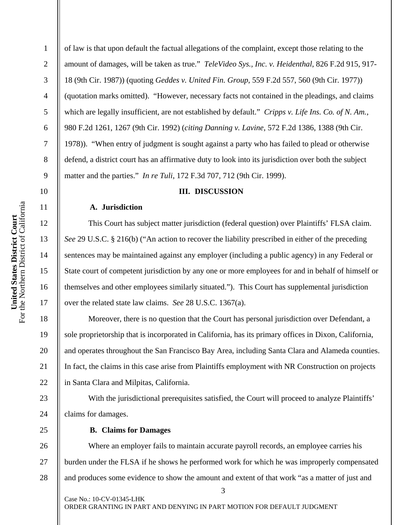1

2

3

4

5

6

7

8

9

10

11

12

13

14

15

16

17

18

19

20

21

22

23

24

25

of law is that upon default the factual allegations of the complaint, except those relating to the amount of damages, will be taken as true." *TeleVideo Sys., Inc. v. Heidenthal*, 826 F.2d 915, 917- 18 (9th Cir. 1987)) (quoting *Geddes v. United Fin. Group*, 559 F.2d 557, 560 (9th Cir. 1977)) (quotation marks omitted). "However, necessary facts not contained in the pleadings, and claims which are legally insufficient, are not established by default." *Cripps v. Life Ins. Co. of N. Am.*, 980 F.2d 1261, 1267 (9th Cir. 1992) (*citing Danning v. Lavine*, 572 F.2d 1386, 1388 (9th Cir. 1978)). "When entry of judgment is sought against a party who has failed to plead or otherwise defend, a district court has an affirmative duty to look into its jurisdiction over both the subject matter and the parties." *In re Tuli*, 172 F.3d 707, 712 (9th Cir. 1999).

#### **III. DISCUSSION**

#### **A. Jurisdiction**

This Court has subject matter jurisdiction (federal question) over Plaintiffs' FLSA claim. *See* 29 U.S.C. § 216(b) ("An action to recover the liability prescribed in either of the preceding sentences may be maintained against any employer (including a public agency) in any Federal or State court of competent jurisdiction by any one or more employees for and in behalf of himself or themselves and other employees similarly situated."). This Court has supplemental jurisdiction over the related state law claims. *See* 28 U.S.C. 1367(a).

Moreover, there is no question that the Court has personal jurisdiction over Defendant, a sole proprietorship that is incorporated in California, has its primary offices in Dixon, California, and operates throughout the San Francisco Bay Area, including Santa Clara and Alameda counties. In fact, the claims in this case arise from Plaintiffs employment with NR Construction on projects in Santa Clara and Milpitas, California.

With the jurisdictional prerequisites satisfied, the Court will proceed to analyze Plaintiffs' claims for damages.

### **B. Claims for Damages**

Case No.: 10-CV-01345-LHK

26 27 28 Where an employer fails to maintain accurate payroll records, an employee carries his burden under the FLSA if he shows he performed work for which he was improperly compensated and produces some evidence to show the amount and extent of that work "as a matter of just and

ORDER GRANTING IN PART AND DENYING IN PART MOTION FOR DEFAULT JUDGMENT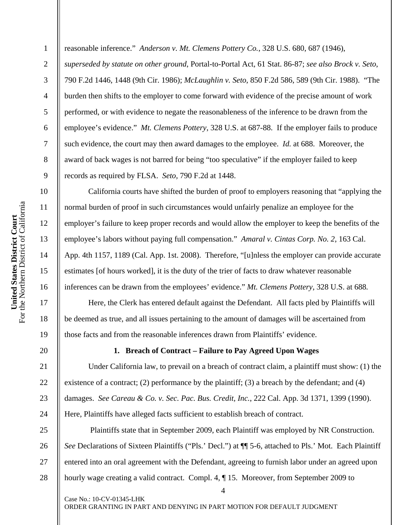reasonable inference." *Anderson v. Mt. Clemens Pottery Co.*, 328 U.S. 680, 687 (1946),

*superseded by statute on other ground*, Portal-to-Portal Act, 61 Stat. 86-87; *see also Brock v. Seto*, 790 F.2d 1446, 1448 (9th Cir. 1986); *McLaughlin v. Seto*, 850 F.2d 586, 589 (9th Cir. 1988). "The burden then shifts to the employer to come forward with evidence of the precise amount of work performed, or with evidence to negate the reasonableness of the inference to be drawn from the employee's evidence." *Mt. Clemens Pottery*, 328 U.S. at 687-88. If the employer fails to produce such evidence, the court may then award damages to the employee. *Id.* at 688. Moreover, the award of back wages is not barred for being "too speculative" if the employer failed to keep records as required by FLSA. *Seto,* 790 F.2d at 1448.

California courts have shifted the burden of proof to employers reasoning that "applying the normal burden of proof in such circumstances would unfairly penalize an employee for the employer's failure to keep proper records and would allow the employer to keep the benefits of the employee's labors without paying full compensation." *Amaral v. Cintas Corp. No. 2*, 163 Cal. App. 4th 1157, 1189 (Cal. App. 1st. 2008). Therefore, "[u]nless the employer can provide accurate estimates [of hours worked], it is the duty of the trier of facts to draw whatever reasonable inferences can be drawn from the employees' evidence." *Mt. Clemens Pottery*, 328 U.S. at 688*.* 

Here, the Clerk has entered default against the Defendant. All facts pled by Plaintiffs will be deemed as true, and all issues pertaining to the amount of damages will be ascertained from those facts and from the reasonable inferences drawn from Plaintiffs' evidence.

### **1. Breach of Contract – Failure to Pay Agreed Upon Wages**

Under California law, to prevail on a breach of contract claim, a plaintiff must show: (1) the existence of a contract; (2) performance by the plaintiff; (3) a breach by the defendant; and (4) damages. *See Careau & Co. v. Sec. Pac. Bus. Credit, Inc.*, 222 Cal. App. 3d 1371, 1399 (1990). Here, Plaintiffs have alleged facts sufficient to establish breach of contract.

25 26 Plaintiffs state that in September 2009, each Plaintiff was employed by NR Construction. *See* Declarations of Sixteen Plaintiffs ("Pls.' Decl.") at  $\P$  5-6, attached to Pls.' Mot. Each Plaintiff entered into an oral agreement with the Defendant, agreeing to furnish labor under an agreed upon hourly wage creating a valid contract. Compl. 4, ¶ 15. Moreover, from September 2009 to

4

ORDER GRANTING IN PART AND DENYING IN PART MOTION FOR DEFAULT JUDGMENT

Case No.: 10-CV-01345-LHK

1

2

3

4

5

6

7

8

9

10

11

12

13

14

15

16

17

18

19

20

21

22

23

24

27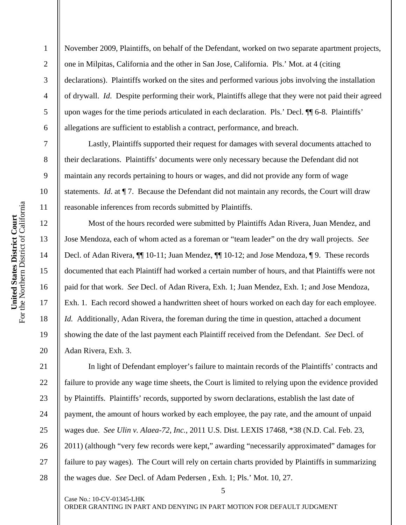November 2009, Plaintiffs, on behalf of the Defendant, worked on two separate apartment projects, one in Milpitas, California and the other in San Jose, California. Pls.' Mot. at 4 (citing declarations). Plaintiffs worked on the sites and performed various jobs involving the installation of drywall. *Id*. Despite performing their work, Plaintiffs allege that they were not paid their agreed upon wages for the time periods articulated in each declaration. Pls.' Decl. ¶¶ 6-8. Plaintiffs' allegations are sufficient to establish a contract, performance, and breach.

Lastly, Plaintiffs supported their request for damages with several documents attached to their declarations. Plaintiffs' documents were only necessary because the Defendant did not maintain any records pertaining to hours or wages, and did not provide any form of wage statements. *Id*. at ¶ 7. Because the Defendant did not maintain any records, the Court will draw reasonable inferences from records submitted by Plaintiffs.

Most of the hours recorded were submitted by Plaintiffs Adan Rivera, Juan Mendez, and Jose Mendoza, each of whom acted as a foreman or "team leader" on the dry wall projects. *See*  Decl. of Adan Rivera, ¶¶ 10-11; Juan Mendez, ¶¶ 10-12; and Jose Mendoza, ¶ 9. These records documented that each Plaintiff had worked a certain number of hours, and that Plaintiffs were not paid for that work. *See* Decl. of Adan Rivera, Exh. 1; Juan Mendez, Exh. 1; and Jose Mendoza, Exh. 1. Each record showed a handwritten sheet of hours worked on each day for each employee. *Id.* Additionally, Adan Rivera, the foreman during the time in question, attached a document showing the date of the last payment each Plaintiff received from the Defendant. *See* Decl. of Adan Rivera, Exh. 3.

In light of Defendant employer's failure to maintain records of the Plaintiffs' contracts and failure to provide any wage time sheets, the Court is limited to relying upon the evidence provided by Plaintiffs. Plaintiffs' records, supported by sworn declarations, establish the last date of payment, the amount of hours worked by each employee, the pay rate, and the amount of unpaid wages due. *See Ulin v. Alaea-72, Inc.*, 2011 U.S. Dist. LEXIS 17468, \*38 (N.D. Cal. Feb. 23, 2011) (although "very few records were kept," awarding "necessarily approximated" damages for failure to pay wages). The Court will rely on certain charts provided by Plaintiffs in summarizing the wages due. *See* Decl. of Adam Pedersen , Exh. 1; Pls.' Mot. 10, 27.

5

1

2

3

4

5

6

7

8

9

10

11

12

13

14

15

16

17

18

19

20

21

22

23

24

25

26

27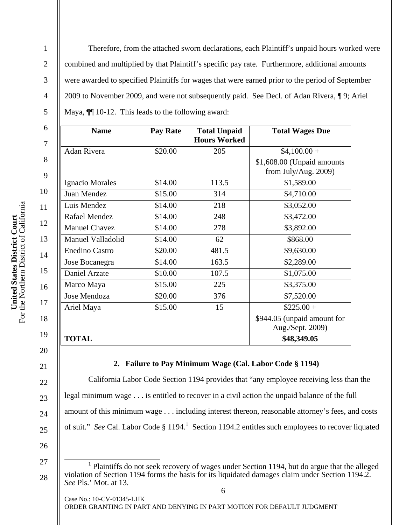Therefore, from the attached sworn declarations, each Plaintiff's unpaid hours worked were combined and multiplied by that Plaintiff's specific pay rate. Furthermore, additional amounts were awarded to specified Plaintiffs for wages that were earned prior to the period of September 2009 to November 2009, and were not subsequently paid. See Decl. of Adan Rivera, ¶ 9; Ariel Maya,  $\P$  10-12. This leads to the following award:

| <b>Name</b>           | <b>Pay Rate</b> | <b>Total Unpaid</b><br><b>Hours Worked</b> | <b>Total Wages Due</b>                                |
|-----------------------|-----------------|--------------------------------------------|-------------------------------------------------------|
| <b>Adan Rivera</b>    | \$20.00         | 205                                        | $$4,100.00+$                                          |
|                       |                 |                                            | \$1,608.00 (Unpaid amounts<br>from July/Aug. $2009$ ) |
| Ignacio Morales       | \$14.00         | 113.5                                      | \$1,589.00                                            |
| Juan Mendez           | \$15.00         | 314                                        | \$4,710.00                                            |
| Luis Mendez           | \$14.00         | 218                                        | \$3,052.00                                            |
| Rafael Mendez         | \$14.00         | 248                                        | \$3,472.00                                            |
| <b>Manuel Chavez</b>  | \$14.00         | 278                                        | \$3,892.00                                            |
| Manuel Valladolid     | \$14.00         | 62                                         | \$868.00                                              |
| <b>Enedino Castro</b> | \$20.00         | 481.5                                      | \$9,630.00                                            |
| Jose Bocanegra        | \$14.00         | 163.5                                      | \$2,289.00                                            |
| Daniel Arzate         | \$10.00         | 107.5                                      | \$1,075.00                                            |
| Marco Maya            | \$15.00         | 225                                        | \$3,375.00                                            |
| Jose Mendoza          | \$20.00         | 376                                        | \$7,520.00                                            |
| Ariel Maya            | \$15.00         | 15                                         | $$225.00+$                                            |
|                       |                 |                                            | \$944.05 (unpaid amount for<br>Aug./Sept. 2009)       |
| <b>TOTAL</b>          |                 |                                            | \$48,349.05                                           |

# **2. Failure to Pay Minimum Wage (Cal. Labor Code § 1194)**

California Labor Code Section 1194 provides that "any employee receiving less than the legal minimum wage . . . is entitled to recover in a civil action the unpaid balance of the full amount of this minimum wage . . . including interest thereon, reasonable attorney's fees, and costs of suit." See Cal. Labor Code § 1194.<sup>1</sup> Section 1194.2 entitles such employees to recover liquated

26

27

28

6

1

2

3

4

5

6

7

8

9

10

11

12

13

14

15

16

17

18

19

20

21

22

23

24

<sup>&</sup>lt;u>1</u> <sup>1</sup> Plaintiffs do not seek recovery of wages under Section 1194, but do argue that the alleged violation of Section 1194 forms the basis for its liquidated damages claim under Section 1194.2. *See* Pls.' Mot. at 13.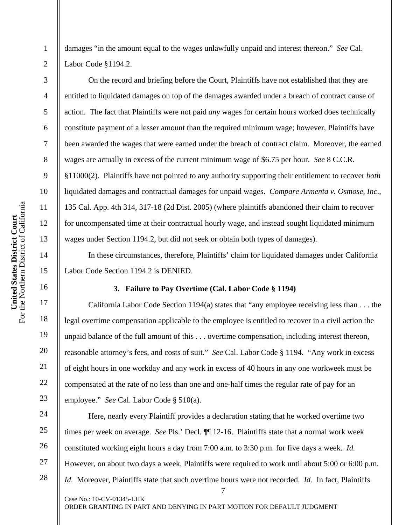1 2 3 damages "in the amount equal to the wages unlawfully unpaid and interest thereon." *See* Cal. Labor Code §1194.2. On the record and briefing before the Court, Plaintiffs have not established that they are

entitled to liquidated damages on top of the damages awarded under a breach of contract cause of action. The fact that Plaintiffs were not paid *any* wages for certain hours worked does technically constitute payment of a lesser amount than the required minimum wage; however, Plaintiffs have been awarded the wages that were earned under the breach of contract claim. Moreover, the earned wages are actually in excess of the current minimum wage of \$6.75 per hour. *See* 8 C.C.R. §11000(2). Plaintiffs have not pointed to any authority supporting their entitlement to recover *both* liquidated damages and contractual damages for unpaid wages. *Compare Armenta v. Osmose, Inc*., 135 Cal. App. 4th 314, 317-18 (2d Dist. 2005) (where plaintiffs abandoned their claim to recover for uncompensated time at their contractual hourly wage, and instead sought liquidated minimum wages under Section 1194.2, but did not seek or obtain both types of damages).

In these circumstances, therefore, Plaintiffs' claim for liquidated damages under California Labor Code Section 1194.2 is DENIED.

# **3. Failure to Pay Overtime (Cal. Labor Code § 1194)**

California Labor Code Section 1194(a) states that "any employee receiving less than . . . the legal overtime compensation applicable to the employee is entitled to recover in a civil action the unpaid balance of the full amount of this . . . overtime compensation, including interest thereon, reasonable attorney's fees, and costs of suit." *See* Cal. Labor Code § 1194. "Any work in excess of eight hours in one workday and any work in excess of 40 hours in any one workweek must be compensated at the rate of no less than one and one-half times the regular rate of pay for an employee." *See* Cal. Labor Code § 510(a).

7 Case No.: 10-CV-01345-LHK Here, nearly every Plaintiff provides a declaration stating that he worked overtime two times per week on average. *See* Pls.' Decl. ¶¶ 12-16. Plaintiffs state that a normal work week constituted working eight hours a day from 7:00 a.m. to 3:30 p.m. for five days a week. *Id.*  However, on about two days a week, Plaintiffs were required to work until about 5:00 or 6:00 p.m. *Id.* Moreover, Plaintiffs state that such overtime hours were not recorded. *Id.* In fact, Plaintiffs

ORDER GRANTING IN PART AND DENYING IN PART MOTION FOR DEFAULT JUDGMENT

4

5

6

7

8

9

10

11

12

13

14

15

16

17

18

19

20

21

22

23

24

25

26

27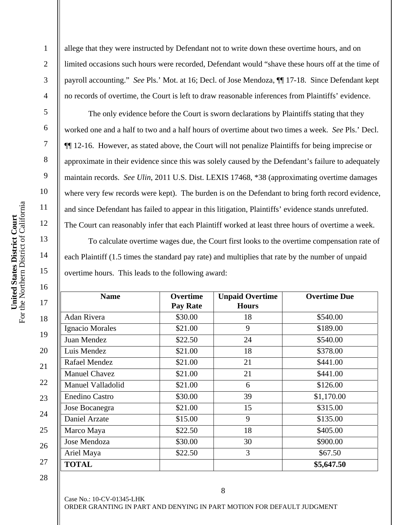1

2

3

4

5

6

7

allege that they were instructed by Defendant not to write down these overtime hours, and on limited occasions such hours were recorded, Defendant would "shave these hours off at the time of payroll accounting." *See* Pls.' Mot. at 16; Decl. of Jose Mendoza, ¶¶ 17-18. Since Defendant kept no records of overtime, the Court is left to draw reasonable inferences from Plaintiffs' evidence.

The only evidence before the Court is sworn declarations by Plaintiffs stating that they worked one and a half to two and a half hours of overtime about two times a week. *See* Pls.' Decl. ¶¶ 12-16. However, as stated above, the Court will not penalize Plaintiffs for being imprecise or approximate in their evidence since this was solely caused by the Defendant's failure to adequately maintain records. *See Ulin*, 2011 U.S. Dist. LEXIS 17468, \*38 (approximating overtime damages where very few records were kept). The burden is on the Defendant to bring forth record evidence, and since Defendant has failed to appear in this litigation, Plaintiffs' evidence stands unrefuted. The Court can reasonably infer that each Plaintiff worked at least three hours of overtime a week.

To calculate overtime wages due, the Court first looks to the overtime compensation rate of each Plaintiff (1.5 times the standard pay rate) and multiplies that rate by the number of unpaid overtime hours. This leads to the following award:

| <b>Name</b>           | <b>Overtime</b><br><b>Pay Rate</b> | <b>Unpaid Overtime</b><br><b>Hours</b> | <b>Overtime Due</b> |
|-----------------------|------------------------------------|----------------------------------------|---------------------|
| Adan Rivera           | \$30.00                            | 18                                     | \$540.00            |
| Ignacio Morales       | \$21.00                            | 9                                      | \$189.00            |
| Juan Mendez           | \$22.50                            | 24                                     | \$540.00            |
| Luis Mendez           | \$21.00                            | 18                                     | \$378.00            |
| Rafael Mendez         | \$21.00                            | 21                                     | \$441.00            |
| <b>Manuel Chavez</b>  | \$21.00                            | 21                                     | \$441.00            |
| Manuel Valladolid     | \$21.00                            | 6                                      | \$126.00            |
| <b>Enedino Castro</b> | \$30.00                            | 39                                     | \$1,170.00          |
| Jose Bocanegra        | \$21.00                            | 15                                     | \$315.00            |
| Daniel Arzate         | \$15.00                            | 9                                      | \$135.00            |
| Marco Maya            | \$22.50                            | 18                                     | \$405.00            |
| Jose Mendoza          | \$30.00                            | 30                                     | \$900.00            |
| Ariel Maya            | \$22.50                            | 3                                      | \$67.50             |
| <b>TOTAL</b>          |                                    |                                        | \$5,647.50          |

28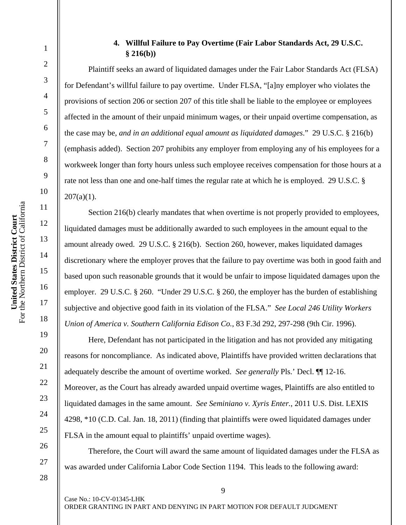# **4. Willful Failure to Pay Overtime (Fair Labor Standards Act, 29 U.S.C. § 216(b))**

Plaintiff seeks an award of liquidated damages under the Fair Labor Standards Act (FLSA) for Defendant's willful failure to pay overtime. Under FLSA, "[a]ny employer who violates the provisions of section 206 or section 207 of this title shall be liable to the employee or employees affected in the amount of their unpaid minimum wages, or their unpaid overtime compensation, as the case may be, *and in an additional equal amount as liquidated damages*." 29 U.S.C. § 216(b) (emphasis added). Section 207 prohibits any employer from employing any of his employees for a workweek longer than forty hours unless such employee receives compensation for those hours at a rate not less than one and one-half times the regular rate at which he is employed. 29 U.S.C. §  $207(a)(1)$ .

Section 216(b) clearly mandates that when overtime is not properly provided to employees, liquidated damages must be additionally awarded to such employees in the amount equal to the amount already owed. 29 U.S.C. § 216(b). Section 260, however, makes liquidated damages discretionary where the employer proves that the failure to pay overtime was both in good faith and based upon such reasonable grounds that it would be unfair to impose liquidated damages upon the employer. 29 U.S.C. § 260. "Under 29 U.S.C. § 260, the employer has the burden of establishing subjective and objective good faith in its violation of the FLSA." *See Local 246 Utility Workers Union of America v. Southern California Edison Co.*, 83 F.3d 292, 297-298 (9th Cir. 1996).

Here, Defendant has not participated in the litigation and has not provided any mitigating reasons for noncompliance. As indicated above, Plaintiffs have provided written declarations that adequately describe the amount of overtime worked. *See generally* Pls.' Decl. ¶¶ 12-16. Moreover, as the Court has already awarded unpaid overtime wages, Plaintiffs are also entitled to liquidated damages in the same amount. *See Seminiano v. Xyris Enter.*, 2011 U.S. Dist. LEXIS 4298, \*10 (C.D. Cal. Jan. 18, 2011) (finding that plaintiffs were owed liquidated damages under FLSA in the amount equal to plaintiffs' unpaid overtime wages).

Therefore, the Court will award the same amount of liquidated damages under the FLSA as was awarded under California Labor Code Section 1194. This leads to the following award:

1

2

3

4

5

6

7

8

9

10

11

12

13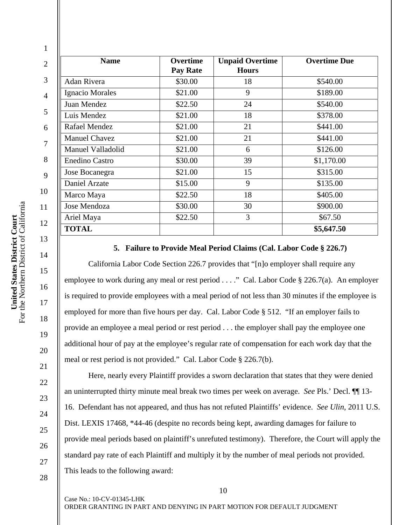| <b>Name</b>           | <b>Overtime</b><br><b>Pay Rate</b> | <b>Unpaid Overtime</b><br><b>Hours</b> | <b>Overtime Due</b> |
|-----------------------|------------------------------------|----------------------------------------|---------------------|
| <b>Adan Rivera</b>    | \$30.00                            | 18                                     | \$540.00            |
| Ignacio Morales       | \$21.00                            | 9                                      | \$189.00            |
| Juan Mendez           | \$22.50                            | 24                                     | \$540.00            |
| Luis Mendez           | \$21.00                            | 18                                     | \$378.00            |
| Rafael Mendez         | \$21.00                            | 21                                     | \$441.00            |
| <b>Manuel Chavez</b>  | \$21.00                            | 21                                     | \$441.00            |
| Manuel Valladolid     | \$21.00                            | 6                                      | \$126.00            |
| <b>Enedino Castro</b> | \$30.00                            | 39                                     | \$1,170.00          |
| Jose Bocanegra        | \$21.00                            | 15                                     | \$315.00            |
| Daniel Arzate         | \$15.00                            | 9                                      | \$135.00            |
| Marco Maya            | \$22.50                            | 18                                     | \$405.00            |
| Jose Mendoza          | \$30.00                            | 30                                     | \$900.00            |
| Ariel Maya            | \$22.50                            | 3                                      | \$67.50             |
| <b>TOTAL</b>          |                                    |                                        | \$5,647.50          |

### **5. Failure to Provide Meal Period Claims (Cal. Labor Code § 226.7)**

California Labor Code Section 226.7 provides that "[n]o employer shall require any employee to work during any meal or rest period . . . ." Cal. Labor Code § 226.7(a). An employer is required to provide employees with a meal period of not less than 30 minutes if the employee is employed for more than five hours per day. Cal. Labor Code § 512. "If an employer fails to provide an employee a meal period or rest period . . . the employer shall pay the employee one additional hour of pay at the employee's regular rate of compensation for each work day that the meal or rest period is not provided." Cal. Labor Code § 226.7(b).

Here, nearly every Plaintiff provides a sworn declaration that states that they were denied an uninterrupted thirty minute meal break two times per week on average. *See* Pls.' Decl. ¶¶ 13- 16. Defendant has not appeared, and thus has not refuted Plaintiffs' evidence. *See Ulin*, 2011 U.S. Dist. LEXIS 17468, \*44-46 (despite no records being kept, awarding damages for failure to provide meal periods based on plaintiff's unrefuted testimony). Therefore, the Court will apply the standard pay rate of each Plaintiff and multiply it by the number of meal periods not provided. This leads to the following award:

Case No.: 10-CV-01345-LHK

ORDER GRANTING IN PART AND DENYING IN PART MOTION FOR DEFAULT JUDGMENT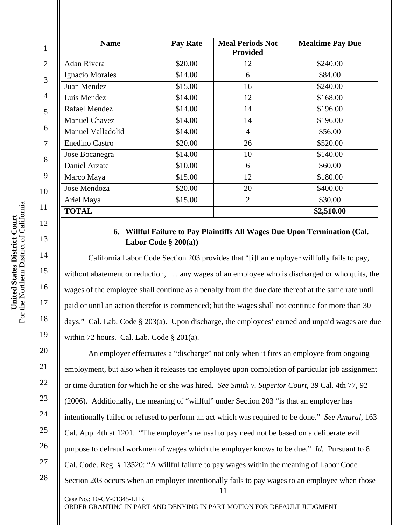| <b>Name</b>           | <b>Pay Rate</b> | <b>Meal Periods Not</b><br><b>Provided</b> | <b>Mealtime Pay Due</b> |
|-----------------------|-----------------|--------------------------------------------|-------------------------|
| Adan Rivera           | \$20.00         | 12                                         | \$240.00                |
| Ignacio Morales       | \$14.00         | 6                                          | \$84.00                 |
| Juan Mendez           | \$15.00         | 16                                         | \$240.00                |
| Luis Mendez           | \$14.00         | 12                                         | \$168.00                |
| Rafael Mendez         | \$14.00         | 14                                         | \$196.00                |
| <b>Manuel Chavez</b>  | \$14.00         | 14                                         | \$196.00                |
| Manuel Valladolid     | \$14.00         | $\overline{4}$                             | \$56.00                 |
| <b>Enedino Castro</b> | \$20.00         | 26                                         | \$520.00                |
| Jose Bocanegra        | \$14.00         | 10                                         | \$140.00                |
| Daniel Arzate         | \$10.00         | 6                                          | \$60.00                 |
| Marco Maya            | \$15.00         | 12                                         | \$180.00                |
| <b>Jose Mendoza</b>   | \$20.00         | 20                                         | \$400.00                |
| Ariel Maya            | \$15.00         | $\overline{2}$                             | \$30.00                 |
| <b>TOTAL</b>          |                 |                                            | \$2,510.00              |

# **6. Willful Failure to Pay Plaintiffs All Wages Due Upon Termination (Cal. Labor Code § 200(a))**

California Labor Code Section 203 provides that "[i]f an employer willfully fails to pay, without abatement or reduction, . . . any wages of an employee who is discharged or who quits, the wages of the employee shall continue as a penalty from the due date thereof at the same rate until paid or until an action therefor is commenced; but the wages shall not continue for more than 30 days." Cal. Lab. Code § 203(a). Upon discharge, the employees' earned and unpaid wages are due within 72 hours. Cal. Lab. Code § 201(a).

11 Case No.: 10-CV-01345-LHK An employer effectuates a "discharge" not only when it fires an employee from ongoing employment, but also when it releases the employee upon completion of particular job assignment or time duration for which he or she was hired. *See Smith v. Superior Court*, 39 Cal. 4th 77, 92 (2006). Additionally, the meaning of "willful" under Section 203 "is that an employer has intentionally failed or refused to perform an act which was required to be done." *See Amaral*, 163 Cal. App. 4th at 1201. "The employer's refusal to pay need not be based on a deliberate evil purpose to defraud workmen of wages which the employer knows to be due." *Id.* Pursuant to 8 Cal. Code. Reg. § 13520: "A willful failure to pay wages within the meaning of Labor Code Section 203 occurs when an employer intentionally fails to pay wages to an employee when those

ORDER GRANTING IN PART AND DENYING IN PART MOTION FOR DEFAULT JUDGMENT

13

14

15

16

17

18

19

20

21

22

23

24

25

26

27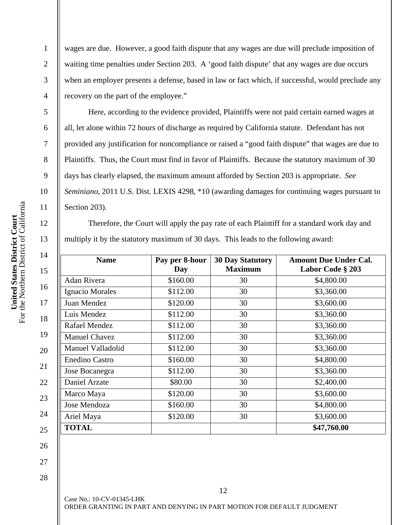wages are due. However, a good faith dispute that any wages are due will preclude imposition of waiting time penalties under Section 203. A 'good faith dispute' that any wages are due occurs when an employer presents a defense, based in law or fact which, if successful, would preclude any recovery on the part of the employee."

Here, according to the evidence provided, Plaintiffs were not paid certain earned wages at all, let alone within 72 hours of discharge as required by California statute. Defendant has not provided any justification for noncompliance or raised a "good faith dispute" that wages are due to Plaintiffs. Thus, the Court must find in favor of Plaintiffs. Because the statutory maximum of 30 days has clearly elapsed, the maximum amount afforded by Section 203 is appropriate. *See Seminiano*, 2011 U.S. Dist. LEXIS 4298, \*10 (awarding damages for continuing wages pursuant to Section 203).

Therefore, the Court will apply the pay rate of each Plaintiff for a standard work day and multiply it by the statutory maximum of 30 days. This leads to the following award:

| <b>Name</b>           | Pay per 8-hour<br>Day | <b>30 Day Statutory</b><br><b>Maximum</b> | <b>Amount Due Under Cal.</b><br>Labor Code § 203 |
|-----------------------|-----------------------|-------------------------------------------|--------------------------------------------------|
| Adan Rivera           | \$160.00              | 30                                        | \$4,800.00                                       |
| Ignacio Morales       | \$112.00              | 30                                        | \$3,360.00                                       |
| Juan Mendez           | \$120.00              | 30                                        | \$3,600.00                                       |
| Luis Mendez           | \$112.00              | 30                                        | \$3,360.00                                       |
| Rafael Mendez         | \$112.00              | 30                                        | \$3,360.00                                       |
| <b>Manuel Chavez</b>  | \$112.00              | 30                                        | \$3,360.00                                       |
| Manuel Valladolid     | \$112.00              | 30                                        | \$3,360.00                                       |
| <b>Enedino Castro</b> | \$160.00              | 30                                        | \$4,800.00                                       |
| Jose Bocanegra        | \$112.00              | 30                                        | \$3,360.00                                       |
| Daniel Arzate         | \$80.00               | 30                                        | \$2,400.00                                       |
| Marco Maya            | \$120.00              | 30                                        | \$3,600.00                                       |
| Jose Mendoza          | \$160.00              | 30                                        | \$4,800.00                                       |
| Ariel Maya            | \$120.00              | 30                                        | \$3,600.00                                       |
| <b>TOTAL</b>          |                       |                                           | \$47,760.00                                      |

- 26 27
- 28

Case No.: 10-CV-01345-LHK ORDER GRANTING IN PART AND DENYING IN PART MOTION FOR DEFAULT JUDGMENT

12

1

2

3

4

5

6

7

8

9

10

11

12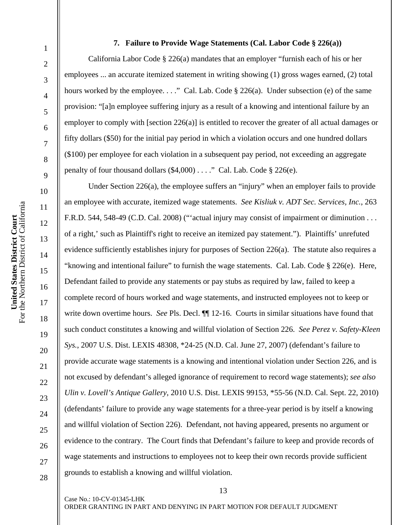### **7. Failure to Provide Wage Statements (Cal. Labor Code § 226(a))**

California Labor Code § 226(a) mandates that an employer "furnish each of his or her employees ... an accurate itemized statement in writing showing (1) gross wages earned, (2) total hours worked by the employee. . . ." Cal. Lab. Code § 226(a). Under subsection (e) of the same provision: "[a]n employee suffering injury as a result of a knowing and intentional failure by an employer to comply with [section 226(a)] is entitled to recover the greater of all actual damages or fifty dollars (\$50) for the initial pay period in which a violation occurs and one hundred dollars (\$100) per employee for each violation in a subsequent pay period, not exceeding an aggregate penalty of four thousand dollars  $(\$4,000)$ ...." Cal. Lab. Code  $§$  226(e).

Under Section 226(a), the employee suffers an "injury" when an employer fails to provide an employee with accurate, itemized wage statements. *See Kisliuk v. ADT Sec. Services, Inc.*, 263 F.R.D. 544, 548-49 (C.D. Cal. 2008) ("actual injury may consist of impairment or diminution . . . of a right,' such as Plaintiff's right to receive an itemized pay statement."). Plaintiffs' unrefuted evidence sufficiently establishes injury for purposes of Section 226(a). The statute also requires a "knowing and intentional failure" to furnish the wage statements. Cal. Lab. Code § 226(e). Here, Defendant failed to provide any statements or pay stubs as required by law, failed to keep a complete record of hours worked and wage statements, and instructed employees not to keep or write down overtime hours. *See* Pls. Decl.  $\P$  12-16. Courts in similar situations have found that such conduct constitutes a knowing and willful violation of Section 226. *See Perez v. Safety-Kleen Sys.*, 2007 U.S. Dist. LEXIS 48308, \*24-25 (N.D. Cal. June 27, 2007) (defendant's failure to provide accurate wage statements is a knowing and intentional violation under Section 226, and is not excused by defendant's alleged ignorance of requirement to record wage statements); *see also Ulin v. Lovell's Antique Gallery*, 2010 U.S. Dist. LEXIS 99153, \*55-56 (N.D. Cal. Sept. 22, 2010) (defendants' failure to provide any wage statements for a three-year period is by itself a knowing and willful violation of Section 226). Defendant, not having appeared, presents no argument or evidence to the contrary. The Court finds that Defendant's failure to keep and provide records of wage statements and instructions to employees not to keep their own records provide sufficient grounds to establish a knowing and willful violation.

1

2

3

4

5

6

7

8

9

10

11

12

13

14

15

16

17

18

19

20

 $21$ 

22

23

24

25

26

27

28

13

ORDER GRANTING IN PART AND DENYING IN PART MOTION FOR DEFAULT JUDGMENT

Case No.: 10-CV-01345-LHK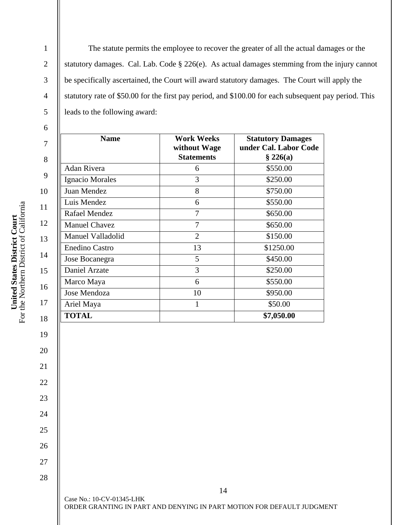The statute permits the employee to recover the greater of all the actual damages or the statutory damages. Cal. Lab. Code § 226(e). As actual damages stemming from the injury cannot be specifically ascertained, the Court will award statutory damages. The Court will apply the statutory rate of \$50.00 for the first pay period, and \$100.00 for each subsequent pay period. This leads to the following award:

| <b>Name</b>           | <b>Work Weeks</b><br>without Wage<br><b>Statements</b> | <b>Statutory Damages</b><br>under Cal. Labor Code<br>§ 226(a) |
|-----------------------|--------------------------------------------------------|---------------------------------------------------------------|
| <b>Adan Rivera</b>    | 6                                                      | \$550.00                                                      |
| Ignacio Morales       | 3                                                      | \$250.00                                                      |
| Juan Mendez           | 8                                                      | \$750.00                                                      |
| Luis Mendez           | 6                                                      | \$550.00                                                      |
| Rafael Mendez         | 7                                                      | \$650.00                                                      |
| <b>Manuel Chavez</b>  | 7                                                      | \$650.00                                                      |
| Manuel Valladolid     | $\overline{2}$                                         | \$150.00                                                      |
| <b>Enedino Castro</b> | 13                                                     | \$1250.00                                                     |
| Jose Bocanegra        | 5                                                      | \$450.00                                                      |
| Daniel Arzate         | 3                                                      | \$250.00                                                      |
| Marco Maya            | 6                                                      | \$550.00                                                      |
| Jose Mendoza          | 10                                                     | \$950.00                                                      |
| Ariel Maya            | 1                                                      | \$50.00                                                       |
| <b>TOTAL</b>          |                                                        | \$7,050.00                                                    |

19

20

21

22

23

24

25

26

27

28

1

2

3

4

5

Case No.: 10-CV-01345-LHK ORDER GRANTING IN PART AND DENYING IN PART MOTION FOR DEFAULT JUDGMENT